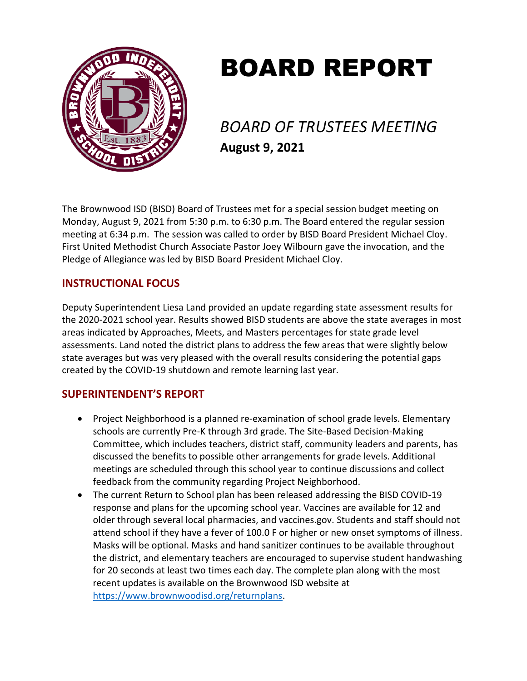

# BOARD REPORT

*BOARD OF TRUSTEES MEETING* **August 9, 2021**

The Brownwood ISD (BISD) Board of Trustees met for a special session budget meeting on Monday, August 9, 2021 from 5:30 p.m. to 6:30 p.m. The Board entered the regular session meeting at 6:34 p.m. The session was called to order by BISD Board President Michael Cloy. First United Methodist Church Associate Pastor Joey Wilbourn gave the invocation, and the Pledge of Allegiance was led by BISD Board President Michael Cloy.

# **INSTRUCTIONAL FOCUS**

Deputy Superintendent Liesa Land provided an update regarding state assessment results for the 2020-2021 school year. Results showed BISD students are above the state averages in most areas indicated by Approaches, Meets, and Masters percentages for state grade level assessments. Land noted the district plans to address the few areas that were slightly below state averages but was very pleased with the overall results considering the potential gaps created by the COVID-19 shutdown and remote learning last year.

# **SUPERINTENDENT'S REPORT**

- Project Neighborhood is a planned re-examination of school grade levels. Elementary schools are currently Pre-K through 3rd grade. The Site-Based Decision-Making Committee, which includes teachers, district staff, community leaders and parents, has discussed the benefits to possible other arrangements for grade levels. Additional meetings are scheduled through this school year to continue discussions and collect feedback from the community regarding Project Neighborhood.
- The current Return to School plan has been released addressing the BISD COVID-19 response and plans for the upcoming school year. Vaccines are available for 12 and older through several local pharmacies, and vaccines.gov. Students and staff should not attend school if they have a fever of 100.0 F or higher or new onset symptoms of illness. Masks will be optional. Masks and hand sanitizer continues to be available throughout the district, and elementary teachers are encouraged to supervise student handwashing for 20 seconds at least two times each day. The complete plan along with the most recent updates is available on the Brownwood ISD website at [https://www.brownwoodisd.org/returnplans.](https://www.brownwoodisd.org/returnplans)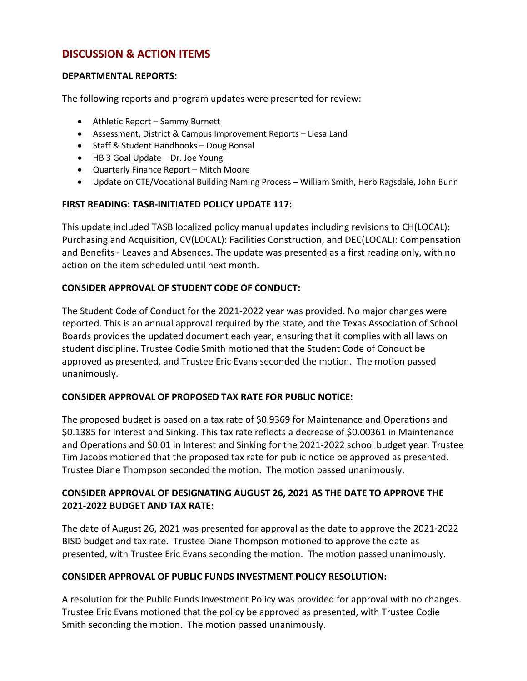# **DISCUSSION & ACTION ITEMS**

#### **DEPARTMENTAL REPORTS:**

The following reports and program updates were presented for review:

- Athletic Report Sammy Burnett
- Assessment, District & Campus Improvement Reports Liesa Land
- Staff & Student Handbooks Doug Bonsal
- HB 3 Goal Update Dr. Joe Young
- Quarterly Finance Report Mitch Moore
- Update on CTE/Vocational Building Naming Process William Smith, Herb Ragsdale, John Bunn

#### **FIRST READING: TASB-INITIATED POLICY UPDATE 117:**

This update included TASB localized policy manual updates including revisions to CH(LOCAL): Purchasing and Acquisition, CV(LOCAL): Facilities Construction, and DEC(LOCAL): Compensation and Benefits - Leaves and Absences. The update was presented as a first reading only, with no action on the item scheduled until next month.

#### **CONSIDER APPROVAL OF STUDENT CODE OF CONDUCT:**

The Student Code of Conduct for the 2021-2022 year was provided. No major changes were reported. This is an annual approval required by the state, and the Texas Association of School Boards provides the updated document each year, ensuring that it complies with all laws on student discipline. Trustee Codie Smith motioned that the Student Code of Conduct be approved as presented, and Trustee Eric Evans seconded the motion. The motion passed unanimously.

#### **CONSIDER APPROVAL OF PROPOSED TAX RATE FOR PUBLIC NOTICE:**

The proposed budget is based on a tax rate of \$0.9369 for Maintenance and Operations and \$0.1385 for Interest and Sinking. This tax rate reflects a decrease of \$0.00361 in Maintenance and Operations and \$0.01 in Interest and Sinking for the 2021-2022 school budget year. Trustee Tim Jacobs motioned that the proposed tax rate for public notice be approved as presented. Trustee Diane Thompson seconded the motion. The motion passed unanimously.

## **CONSIDER APPROVAL OF DESIGNATING AUGUST 26, 2021 AS THE DATE TO APPROVE THE 2021-2022 BUDGET AND TAX RATE:**

The date of August 26, 2021 was presented for approval as the date to approve the 2021-2022 BISD budget and tax rate. Trustee Diane Thompson motioned to approve the date as presented, with Trustee Eric Evans seconding the motion. The motion passed unanimously.

## **CONSIDER APPROVAL OF PUBLIC FUNDS INVESTMENT POLICY RESOLUTION:**

A resolution for the Public Funds Investment Policy was provided for approval with no changes. Trustee Eric Evans motioned that the policy be approved as presented, with Trustee Codie Smith seconding the motion. The motion passed unanimously.